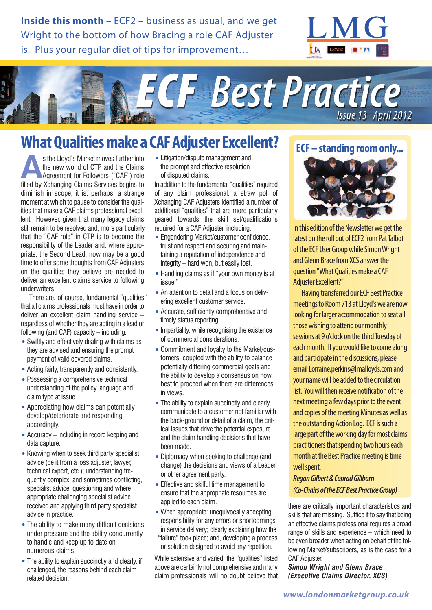**Inside this month –** ECF2 – business as usual; and we get Wright to the bottom of how Bracing a role CAF Adjuster is. Plus your regular diet of tips for improvement…





# **What Qualities make a CAF Adjuster Excellent?**

s the Lloyd's Market moves further into<br>the new world of CTP and the Claims<br>Agreement for Followers ("CAF") role<br>filled by Xchanging Claims Services begins to the new world of CTP and the Claims Agreement for Followers ("CAF") role filled by Xchanging Claims Services begins to diminish in scope, it is, perhaps, a strange moment at which to pause to consider the qualities that make a CAF claims professional excellent. However, given that many legacy claims still remain to be resolved and, more particularly, that the "CAF role" in CTP is to become the responsibility of the Leader and, where appropriate, the Second Lead, now may be a good time to offer some thoughts from CAF Adjusters on the qualities they believe are needed to deliver an excellent claims service to following underwriters.

There are, of course, fundamental "qualities" that all claims professionals must have in order to deliver an excellent claim handling service – regardless of whether they are acting in a lead or following (and CAF) capacity – including:

- •Swiftly and effectively dealing with claims as they are advised and ensuring the prompt payment of valid covered claims.
- •Acting fairly, transparently and consistently.
- •Possessing a comprehensive technical understanding of the policy language and claim type at issue.
- •Appreciating how claims can potentially develop/deteriorate and responding accordingly.
- •Accuracy including in record keeping and data capture.
- Knowing when to seek third party specialist advice (be it from a loss adjuster, lawyer, technical expert, etc.); understanding frequently complex, and sometimes conflicting, specialist advice; questioning and where appropriate challenging specialist advice received and applying third party specialist advice in practice.
- •The ability to make many difficult decisions under pressure and the ability concurrently to handle and keep up to date on numerous claims.
- The ability to explain succinctly and clearly, if challenged, the reasons behind each claim related decision.

•Litigation/dispute management and the prompt and effective resolution of disputed claims.

In addition to the fundamental "qualities" required of any claim professional, a straw poll of Xchanging CAF Adjusters identified a number of additional "qualities" that are more particularly geared towards the skill set/qualifications required for a CAF Adjuster, including:

- •Engendering Market/customer confidence, trust and respect and securing and maintaining a reputation of independence and integrity – hard won, but easily lost.
- Handling claims as if "your own money is at issue."
- An attention to detail and a focus on delivering excellent customer service.
- •Accurate, sufficiently comprehensive and timely status reporting.
- Impartiality, while recognising the existence of commercial considerations.
- •Commitment and loyalty to the Market/customers, coupled with the ability to balance potentially differing commercial goals and the ability to develop a consensus on how best to proceed when there are differences in views.
- The ability to explain succinctly and clearly communicate to a customer not familiar with the back-ground or detail of a claim, the critical issues that drive the potential exposure and the claim handling decisions that have been made.
- •Diplomacy when seeking to challenge (and change) the decisions and views of a Leader or other agreement party.
- •Effective and skilful time management to ensure that the appropriate resources are applied to each claim.
- When appropriate: unequivocally accepting responsibility for any errors or shortcomings in service delivery; clearly explaining how the "failure" took place; and, developing a process or solution designed to avoid any repetition.

While extensive and varied, the "qualities" listed above are certainly not comprehensive and many claim professionals will no doubt believe that

### **ECF** – standing room only...



In this edition of the Newsletter we get the latest on the roll out of ECF2 from Pat Talbot of the ECF User Group while Simon Wright and Glenn Brace from XCS answer the question "What Qualities make a CAF Adiuster Excellent?"

Having transferred our ECF Best Practice meetings to Room 713 at Lloyd's we are now looking for larger accommodation to seat all those wishing to attend our monthly sessions at 9 o'clock on the third Tuesday of each month. If you would like to come along and participate in the discussions, please email Lorraine.perkins@lmalloyds.com and your name will be added to the circulation list. You will then receive notification of the next meeting a few days prior to the event and copies of the meeting Minutes as well as the outstanding Action Log. ECF is such a large part of the working day for most claims practitioners that spending two hours each month at the Best Practice meeting is time well spent.

#### *ReganGilbert&ConradGillborn (Co-ChairsoftheECFBestPracticeGroup)*

there are critically important characteristics and skills that are missing. Suffice it to say that being an effective claims professional requires a broad range of skills and experience – which need to be even broader when acting on behalf of the following Market/subscribers, as is the case for a CAF Adjuster.

*Simon Wright and Glenn Brace (Executive Claims Director, XCS)*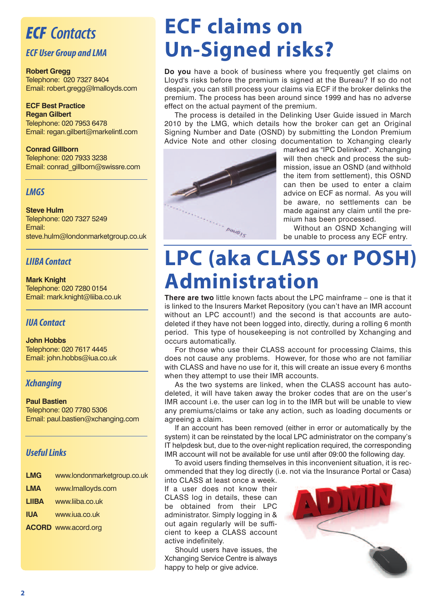## *ECF Contacts*

#### *ECF User Group and LMA*

#### **Robert Gregg**

Telephone: 020 7327 8404 Email: robert.gregg@lmalloyds.com

#### **ECF Best Practice Regan Gilbert**

Telephone: 020 7953 6478 Email: regan.gilbert@markelintl.com

#### **Conrad Gillborn**

Telephone: 020 7933 3238 Email: conrad\_gillborn@swissre.com

#### *LMGS*

#### **Steve Hulm**

Telephone: 020 7327 5249 Email: steve.hulm@londonmarketgroup.co.uk

#### *LIIBA Contact*

#### **Mark Knight**

Telephone: 020 7280 0154 Email: mark.knight@liiba.co.uk

#### *IUA Contact*

**John Hobbs** Telephone: 020 7617 4445 Email: john.hobbs@iua.co.uk

#### *Xchanging*

#### **Paul Bastien** Telephone: 020 7780 5306

Email: paul.bastien@xchanging.com

#### **Useful Links**

| LMG   | www.londonmarketgroup.co.uk |
|-------|-----------------------------|
| LMA   | www.lmalloyds.com           |
| LIIBA | www.liiba.co.uk             |
| IUA   | www.iua.co.uk               |

**ACORD** www.acord.org

# **ECF claims on Un-Signed risks?**

**Do you** have a book of business where you frequently get claims on Lloyd's risks before the premium is signed at the Bureau? If so do not despair, you can still process your claims via ECF if the broker delinks the premium. The process has been around since 1999 and has no adverse effect on the actual payment of the premium.

The process is detailed in the Delinking User Guide issued in March 2010 by the LMG, which details how the broker can get an Original Signing Number and Date (OSND) by submitting the London Premium Advice Note and other closing documentation to Xchanging clearly



marked as "IPC Delinked". Xchanging will then check and process the submission, issue an OSND (and withhold the item from settlement), this OSND can then be used to enter a claim advice on ECF as normal. As you will be aware, no settlements can be made against any claim until the premium has been processed.

Without an OSND Xchanging will be unable to process any ECF entry.

# **LPC (aka CLASS or POSH) Administration**

**There are two** little known facts about the LPC mainframe – one is that it is linked to the Insurers Market Repository (you can't have an IMR account without an LPC account!) and the second is that accounts are autodeleted if they have not been logged into, directly, during a rolling 6 month period. This type of housekeeping is not controlled by Xchanging and occurs automatically.

For those who use their CLASS account for processing Claims, this does not cause any problems. However, for those who are not familiar with CLASS and have no use for it, this will create an issue every 6 months when they attempt to use their IMR accounts.

As the two systems are linked, when the CLASS account has autodeleted, it will have taken away the broker codes that are on the user's IMR account i.e. the user can log in to the IMR but will be unable to view any premiums/claims or take any action, such as loading documents or agreeing a claim.

If an account has been removed (either in error or automatically by the system) it can be reinstated by the local LPC administrator on the company's IT helpdesk but, due to the over-night replication required, the corresponding IMR account will not be available for use until after 09:00 the following day.

To avoid users finding themselves in this inconvenient situation, it is recommended that they log directly (i.e. not via the Insurance Portal or Casa)

into CLASS at least once a week. If a user does not know their CLASS log in details, these can be obtained from their LPC administrator. Simply logging in & out again regularly will be sufficient to keep a CLASS account active indefinitely.

Should users have issues, the Xchanging Service Centre is always happy to help or give advice.

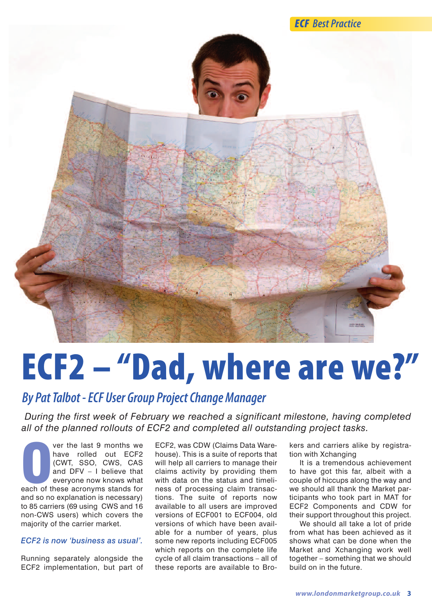



# **ECF2 – "Dad, where are we?"**

## *By PatTalbot -ECF User Group ProjectChangeManager*

*During the first week of February we reached a significant milestone, having completed all of the planned rollouts of ECF2 and completed all outstanding project tasks.*

**O**each of these acronyms stands for<br> **O**each of these acronyms stands for<br> **O**each of these acronyms stands for ver the last 9 months we have rolled out ECF2 (CWT, SSO, CWS, CAS and DFV – I believe that everyone now knows what and so no explanation is necessary) to 85 carriers (69 using CWS and 16 non-CWS users) which covers the majority of the carrier market.

#### *ECF2 is now 'business as usual'.*

Running separately alongside the ECF2 implementation, but part of

ECF2, was CDW (Claims Data Warehouse). This is a suite of reports that will help all carriers to manage their claims activity by providing them with data on the status and timeliness of processing claim transactions. The suite of reports now available to all users are improved versions of ECF001 to ECF004, old versions of which have been available for a number of years, plus some new reports including ECF005 which reports on the complete life cycle of all claim transactions – all of these reports are available to Bro-

kers and carriers alike by registration with Xchanging

It is a tremendous achievement to have got this far, albeit with a couple of hiccups along the way and we should all thank the Market participants who took part in MAT for ECF2 Components and CDW for their support throughout this project.

We should all take a lot of pride from what has been achieved as it shows what can be done when the Market and Xchanging work well together – something that we should build on in the future.